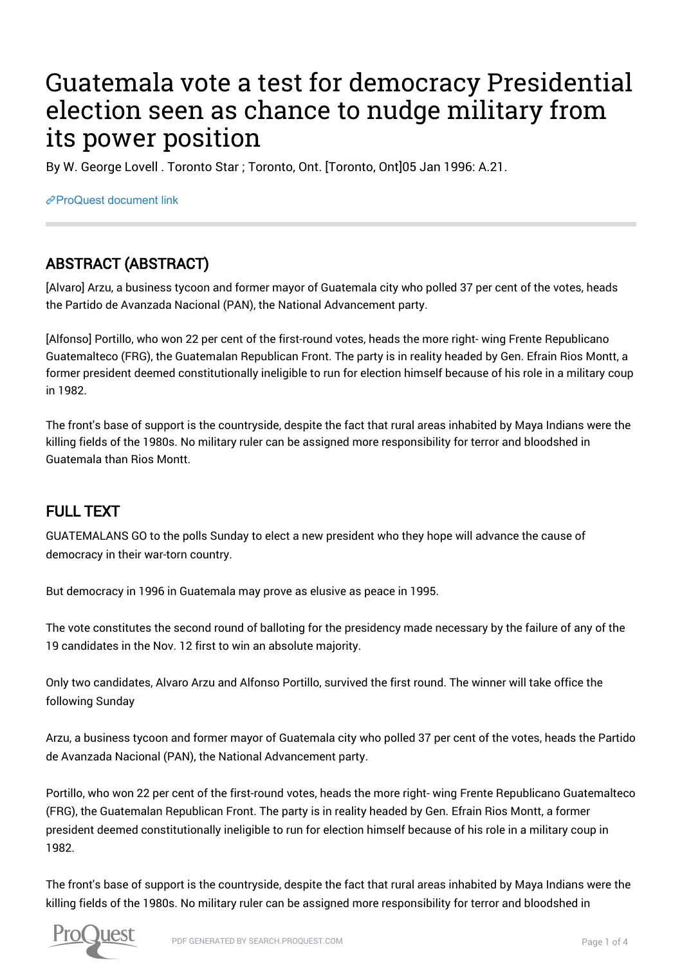# Guatemala vote a test for democracy Presidential election seen as chance to nudge military from its power position

By W. George Lovell . Toronto Star ; Toronto, Ont. [Toronto, Ont]05 Jan 1996: A.21.

[ProQuest document link](https://proxy.queensu.ca/login?url=https://search.proquest.com/docview/437413639?accountid=6180)

## ABSTRACT (ABSTRACT)

[Alvaro] Arzu, a business tycoon and former mayor of Guatemala city who polled 37 per cent of the votes, heads the Partido de Avanzada Nacional (PAN), the National Advancement party.

[Alfonso] Portillo, who won 22 per cent of the first-round votes, heads the more right- wing Frente Republicano Guatemalteco (FRG), the Guatemalan Republican Front. The party is in reality headed by Gen. Efrain Rios Montt, a former president deemed constitutionally ineligible to run for election himself because of his role in a military coup in 1982.

The front's base of support is the countryside, despite the fact that rural areas inhabited by Maya Indians were the killing fields of the 1980s. No military ruler can be assigned more responsibility for terror and bloodshed in Guatemala than Rios Montt.

## FULL TEXT

GUATEMALANS GO to the polls Sunday to elect a new president who they hope will advance the cause of democracy in their war-torn country.

But democracy in 1996 in Guatemala may prove as elusive as peace in 1995.

The vote constitutes the second round of balloting for the presidency made necessary by the failure of any of the 19 candidates in the Nov. 12 first to win an absolute majority.

Only two candidates, Alvaro Arzu and Alfonso Portillo, survived the first round. The winner will take office the following Sunday

Arzu, a business tycoon and former mayor of Guatemala city who polled 37 per cent of the votes, heads the Partido de Avanzada Nacional (PAN), the National Advancement party.

Portillo, who won 22 per cent of the first-round votes, heads the more right- wing Frente Republicano Guatemalteco (FRG), the Guatemalan Republican Front. The party is in reality headed by Gen. Efrain Rios Montt, a former president deemed constitutionally ineligible to run for election himself because of his role in a military coup in 1982.

The front's base of support is the countryside, despite the fact that rural areas inhabited by Maya Indians were the killing fields of the 1980s. No military ruler can be assigned more responsibility for terror and bloodshed in

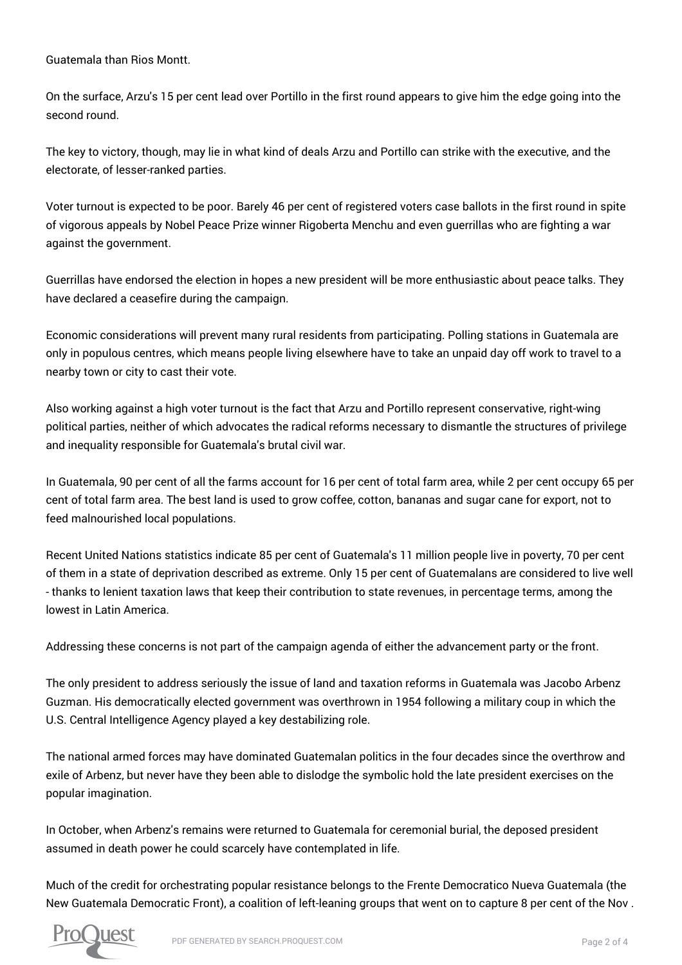Guatemala than Rios Montt.

On the surface, Arzu's 15 per cent lead over Portillo in the first round appears to give him the edge going into the second round.

The key to victory, though, may lie in what kind of deals Arzu and Portillo can strike with the executive, and the electorate, of lesser-ranked parties.

Voter turnout is expected to be poor. Barely 46 per cent of registered voters case ballots in the first round in spite of vigorous appeals by Nobel Peace Prize winner Rigoberta Menchu and even guerrillas who are fighting a war against the government.

Guerrillas have endorsed the election in hopes a new president will be more enthusiastic about peace talks. They have declared a ceasefire during the campaign.

Economic considerations will prevent many rural residents from participating. Polling stations in Guatemala are only in populous centres, which means people living elsewhere have to take an unpaid day off work to travel to a nearby town or city to cast their vote.

Also working against a high voter turnout is the fact that Arzu and Portillo represent conservative, right-wing political parties, neither of which advocates the radical reforms necessary to dismantle the structures of privilege and inequality responsible for Guatemala's brutal civil war.

In Guatemala, 90 per cent of all the farms account for 16 per cent of total farm area, while 2 per cent occupy 65 per cent of total farm area. The best land is used to grow coffee, cotton, bananas and sugar cane for export, not to feed malnourished local populations.

Recent United Nations statistics indicate 85 per cent of Guatemala's 11 million people live in poverty, 70 per cent of them in a state of deprivation described as extreme. Only 15 per cent of Guatemalans are considered to live well - thanks to lenient taxation laws that keep their contribution to state revenues, in percentage terms, among the lowest in Latin America.

Addressing these concerns is not part of the campaign agenda of either the advancement party or the front.

The only president to address seriously the issue of land and taxation reforms in Guatemala was Jacobo Arbenz Guzman. His democratically elected government was overthrown in 1954 following a military coup in which the U.S. Central Intelligence Agency played a key destabilizing role.

The national armed forces may have dominated Guatemalan politics in the four decades since the overthrow and exile of Arbenz, but never have they been able to dislodge the symbolic hold the late president exercises on the popular imagination.

In October, when Arbenz's remains were returned to Guatemala for ceremonial burial, the deposed president assumed in death power he could scarcely have contemplated in life.

Much of the credit for orchestrating popular resistance belongs to the Frente Democratico Nueva Guatemala (the New Guatemala Democratic Front), a coalition of left-leaning groups that went on to capture 8 per cent of the Nov .

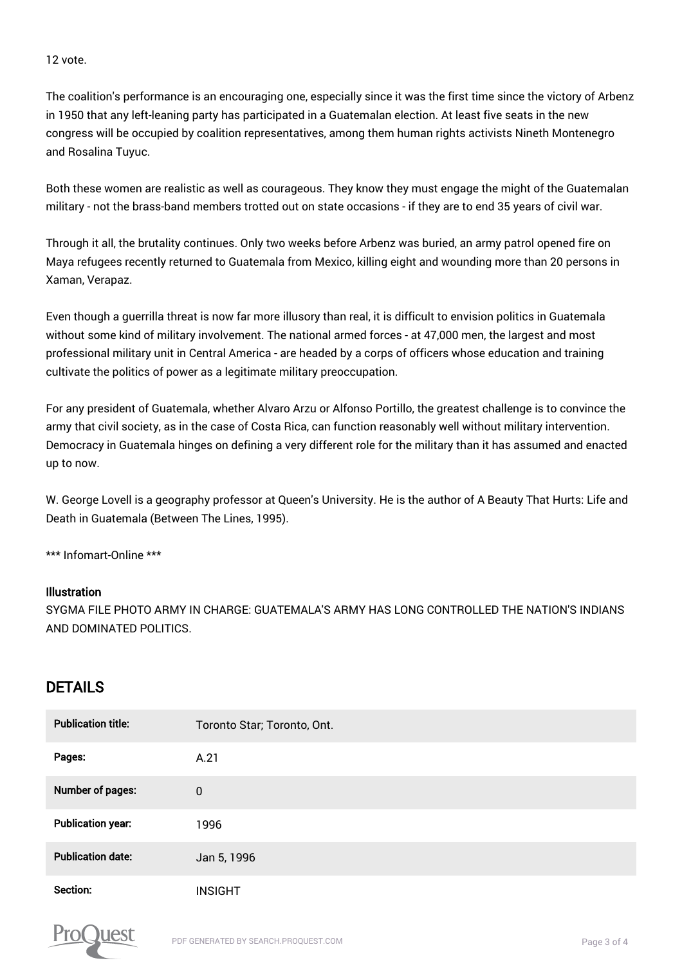#### 12 vote.

The coalition's performance is an encouraging one, especially since it was the first time since the victory of Arbenz in 1950 that any left-leaning party has participated in a Guatemalan election. At least five seats in the new congress will be occupied by coalition representatives, among them human rights activists Nineth Montenegro and Rosalina Tuyuc.

Both these women are realistic as well as courageous. They know they must engage the might of the Guatemalan military - not the brass-band members trotted out on state occasions - if they are to end 35 years of civil war.

Through it all, the brutality continues. Only two weeks before Arbenz was buried, an army patrol opened fire on Maya refugees recently returned to Guatemala from Mexico, killing eight and wounding more than 20 persons in Xaman, Verapaz.

Even though a guerrilla threat is now far more illusory than real, it is difficult to envision politics in Guatemala without some kind of military involvement. The national armed forces - at 47,000 men, the largest and most professional military unit in Central America - are headed by a corps of officers whose education and training cultivate the politics of power as a legitimate military preoccupation.

For any president of Guatemala, whether Alvaro Arzu or Alfonso Portillo, the greatest challenge is to convince the army that civil society, as in the case of Costa Rica, can function reasonably well without military intervention. Democracy in Guatemala hinges on defining a very different role for the military than it has assumed and enacted up to now.

W. George Lovell is a geography professor at Queen's University. He is the author of A Beauty That Hurts: Life and Death in Guatemala (Between The Lines, 1995).

\*\*\* Infomart-Online \*\*\*

#### Illustration

SYGMA FILE PHOTO ARMY IN CHARGE: GUATEMALA'S ARMY HAS LONG CONTROLLED THE NATION'S INDIANS AND DOMINATED POLITICS.

### DETAILS

| <b>Publication title:</b> | Toronto Star; Toronto, Ont. |
|---------------------------|-----------------------------|
| Pages:                    | A.21                        |
| Number of pages:          | $\mathbf 0$                 |
| <b>Publication year:</b>  | 1996                        |
| <b>Publication date:</b>  | Jan 5, 1996                 |
| Section:                  | <b>INSIGHT</b>              |